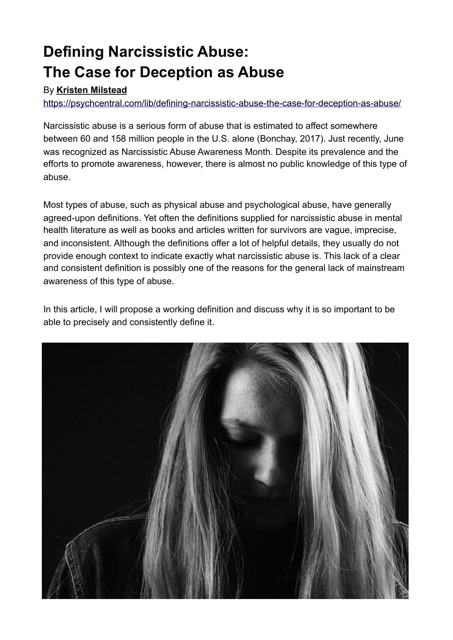# **Defining Narcissistic Abuse: The Case for Deception as Abuse**

#### By **[Kristen Milstead](https://psychcentral.com/lib/author/kristen-milstead/)**

<https://psychcentral.com/lib/defining-narcissistic-abuse-the-case-for-deception-as-abuse/>

Narcissistic abuse is a serious form of abuse that is estimated to affect somewhere between 60 and 158 million people in the U.S. alone (Bonchay, 2017). Just recently, June was recognized as Narcissistic Abuse Awareness Month. Despite its prevalence and the efforts to promote awareness, however, there is almost no public knowledge of this type of abuse.

Most types of abuse, such as physical abuse and psychological abuse, have generally agreed-upon definitions. Yet often the definitions supplied for narcissistic abuse in mental health literature as well as books and articles written for survivors are vague, imprecise, and inconsistent. Although the definitions offer a lot of helpful details, they usually do not provide enough context to indicate exactly what narcissistic abuse is. This lack of a clear and consistent definition is possibly one of the reasons for the general lack of mainstream awareness of this type of abuse.

In this article, I will propose a working definition and discuss why it is so important to be able to precisely and consistently define it.

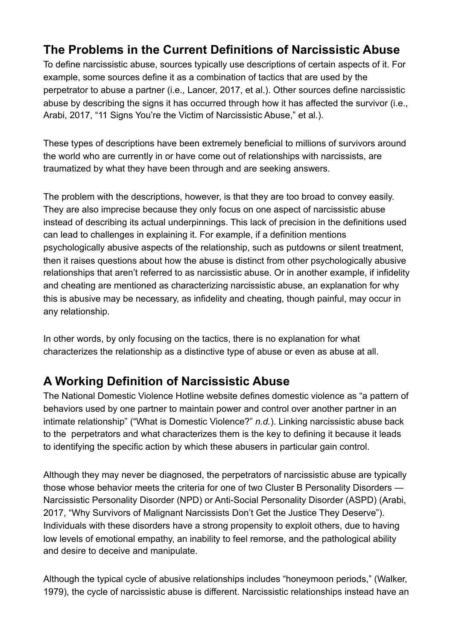## **The Problems in the Current Definitions of Narcissistic Abuse**

To define narcissistic abuse, sources typically use descriptions of certain aspects of it. For example, some sources define it as a combination of tactics that are used by the perpetrator to abuse a partner (i.e., Lancer, 2017, et al.). Other sources define narcissistic abuse by describing the signs it has occurred through how it has affected the survivor (i.e., Arabi, 2017, "11 Signs You're the Victim of Narcissistic Abuse," et al.).

These types of descriptions have been extremely beneficial to millions of survivors around the world who are currently in or have come out of relationships with narcissists, are traumatized by what they have been through and are seeking answers.

The problem with the descriptions, however, is that they are too broad to convey easily. They are also imprecise because they only focus on one aspect of narcissistic abuse instead of describing its actual underpinnings. This lack of precision in the definitions used can lead to challenges in explaining it. For example, if a definition mentions psychologically abusive aspects of the relationship, such as putdowns or silent treatment, then it raises questions about how the abuse is distinct from other psychologically abusive relationships that aren't referred to as narcissistic abuse. Or in another example, if infidelity and cheating are mentioned as characterizing narcissistic abuse, an explanation for why this is abusive may be necessary, as infidelity and cheating, though painful, may occur in any relationship.

In other words, by only focusing on the tactics, there is no explanation for what characterizes the relationship as a distinctive type of abuse or even as abuse at all.

## **A Working Definition of Narcissistic Abuse**

The National Domestic Violence Hotline website defines domestic violence as "a pattern of behaviors used by one partner to maintain power and control over another partner in an intimate relationship" ("What is Domestic Violence?" *n.d.*). Linking narcissistic abuse back to the perpetrators and what characterizes them is the key to defining it because it leads to identifying the specific action by which these abusers in particular gain control.

Although they may never be diagnosed, the perpetrators of narcissistic abuse are typically those whose behavior meets the criteria for one of two Cluster B Personality Disorders — Narcissistic Personality Disorder (NPD) or Anti-Social Personality Disorder (ASPD) (Arabi, 2017, "Why Survivors of Malignant Narcissists Don't Get the Justice They Deserve"). Individuals with these disorders have a strong propensity to exploit others, due to having low levels of emotional empathy, an inability to feel remorse, and the pathological ability and desire to deceive and manipulate.

Although the typical cycle of abusive relationships includes "honeymoon periods," (Walker, 1979), the cycle of narcissistic abuse is different. Narcissistic relationships instead have an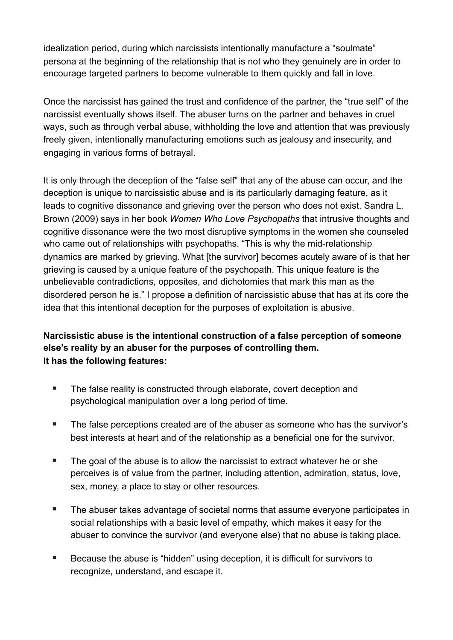idealization period, during which narcissists intentionally manufacture a "soulmate" persona at the beginning of the relationship that is not who they genuinely are in order to encourage targeted partners to become vulnerable to them quickly and fall in love.

Once the narcissist has gained the trust and confidence of the partner, the "true self" of the narcissist eventually shows itself. The abuser turns on the partner and behaves in cruel ways, such as through verbal abuse, withholding the love and attention that was previously freely given, intentionally manufacturing emotions such as jealousy and insecurity, and engaging in various forms of betrayal.

It is only through the deception of the "false self" that any of the abuse can occur, and the deception is unique to narcissistic abuse and is its particularly damaging feature, as it leads to cognitive dissonance and grieving over the person who does not exist. Sandra L. Brown (2009) says in her book *Women Who Love Psychopaths* that intrusive thoughts and cognitive dissonance were the two most disruptive symptoms in the women she counseled who came out of relationships with psychopaths. "This is why the mid-relationship dynamics are marked by grieving. What [the survivor] becomes acutely aware of is that her grieving is caused by a unique feature of the psychopath. This unique feature is the unbelievable contradictions, opposites, and dichotomies that mark this man as the disordered person he is." I propose a definition of narcissistic abuse that has at its core the idea that this intentional deception for the purposes of exploitation is abusive.

#### **Narcissistic abuse is the intentional construction of a false perception of someone else's reality by an abuser for the purposes of controlling them. It has the following features:**

- The false reality is constructed through elaborate, covert deception and psychological manipulation over a long period of time.
- The false perceptions created are of the abuser as someone who has the survivor's best interests at heart and of the relationship as a beneficial one for the survivor.
- The goal of the abuse is to allow the narcissist to extract whatever he or she perceives is of value from the partner, including attention, admiration, status, love, sex, money, a place to stay or other resources.
- The abuser takes advantage of societal norms that assume everyone participates in social relationships with a basic level of empathy, which makes it easy for the abuser to convince the survivor (and everyone else) that no abuse is taking place.
- Because the abuse is "hidden" using deception, it is difficult for survivors to recognize, understand, and escape it.